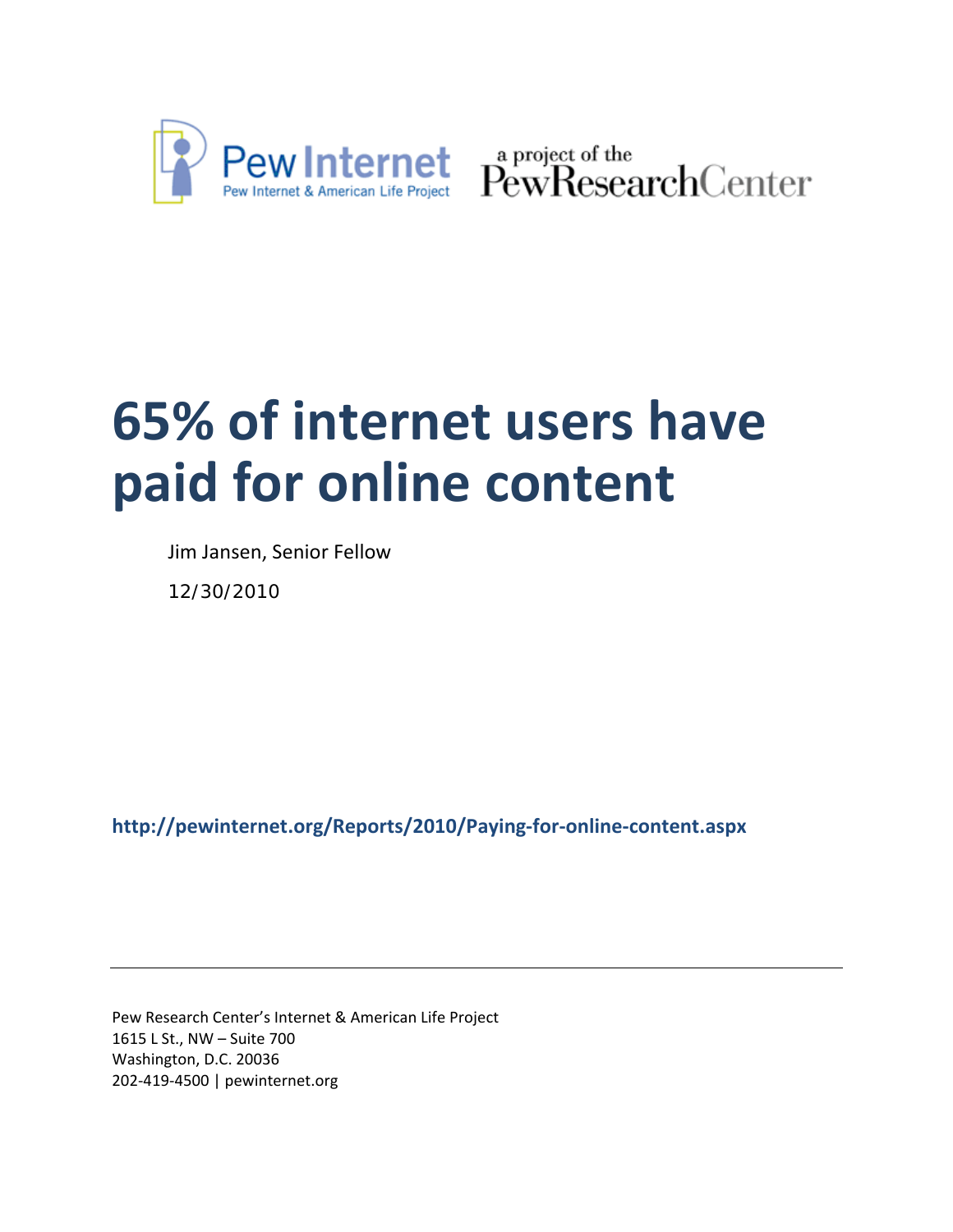

Pew Internet & American Life Project PewResearchCenter

# **65% of internet users have paid for online content**

Jim Jansen, Senior Fellow

12/30/2010

**http://pewinternet.org/Reports/2010/Paying‐for‐online‐content.aspx**

Pew Research Center's Internet & American Life Project 1615 L St., NW – Suite 700 Washington, D.C. 20036 202‐419‐4500 | pewinternet.org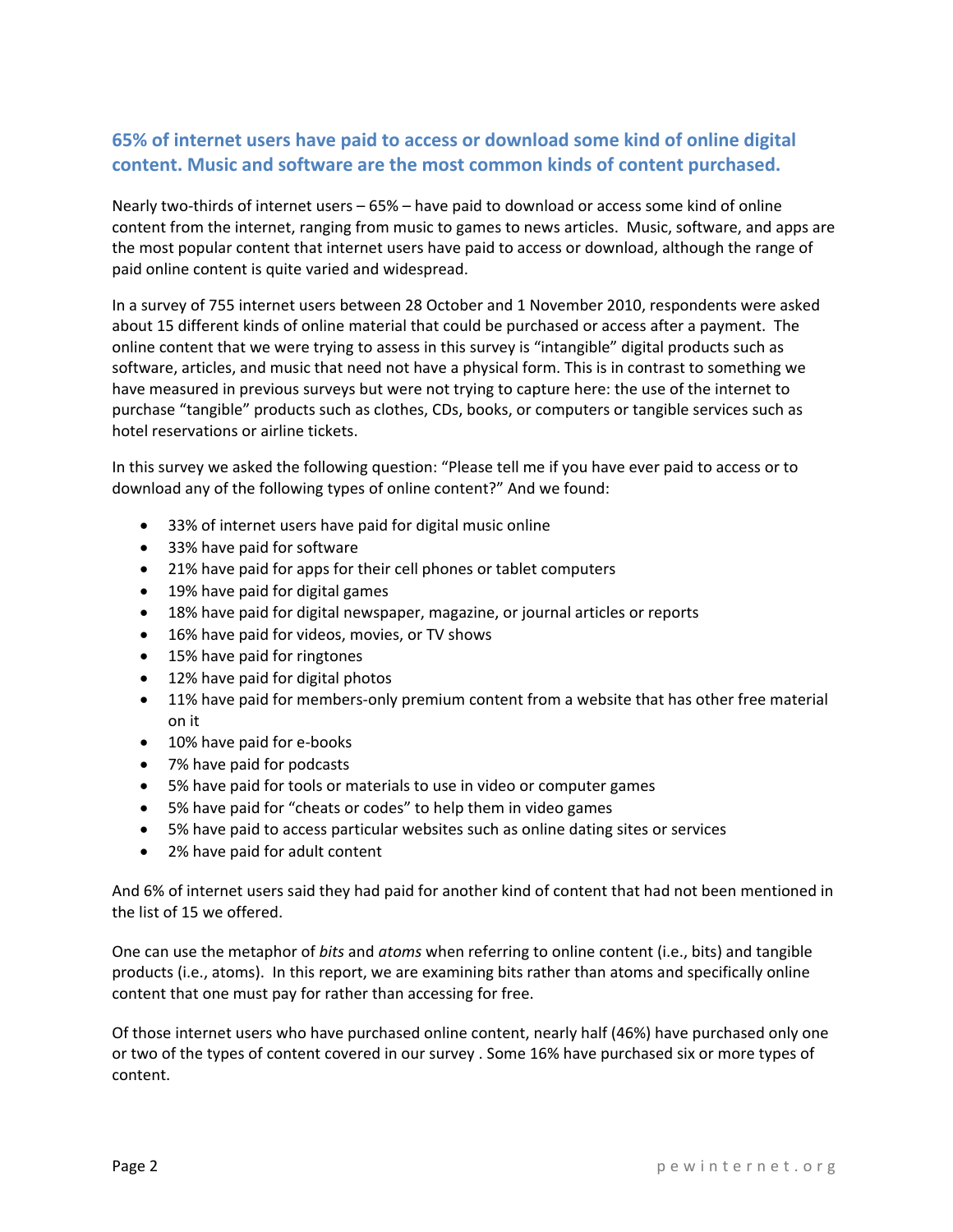## **65% of internet users have paid to access or download some kind of online digital content. Music and software are the most common kinds of content purchased.**

Nearly two-thirds of internet users – 65% – have paid to download or access some kind of online content from the internet, ranging from music to games to news articles. Music, software, and apps are the most popular content that internet users have paid to access or download, although the range of paid online content is quite varied and widespread.

In a survey of 755 internet users between 28 October and 1 November 2010, respondents were asked about 15 different kinds of online material that could be purchased or access after a payment. The online content that we were trying to assess in this survey is "intangible" digital products such as software, articles, and music that need not have a physical form. This is in contrast to something we have measured in previous surveys but were not trying to capture here: the use of the internet to purchase "tangible" products such as clothes, CDs, books, or computers or tangible services such as hotel reservations or airline tickets.

In this survey we asked the following question: "Please tell me if you have ever paid to access or to download any of the following types of online content?" And we found:

- 33% of internet users have paid for digital music online
- 33% have paid for software
- 21% have paid for apps for their cell phones or tablet computers
- 19% have paid for digital games
- 18% have paid for digital newspaper, magazine, or journal articles or reports
- 16% have paid for videos, movies, or TV shows
- 15% have paid for ringtones
- 12% have paid for digital photos
- 11% have paid for members-only premium content from a website that has other free material on it
- 10% have paid for e-books
- 7% have paid for podcasts
- 5% have paid for tools or materials to use in video or computer games
- 5% have paid for "cheats or codes" to help them in video games
- 5% have paid to access particular websites such as online dating sites or services
- 2% have paid for adult content

And 6% of internet users said they had paid for another kind of content that had not been mentioned in the list of 15 we offered.

One can use the metaphor of *bits* and *atoms* when referring to online content (i.e., bits) and tangible products (i.e., atoms). In this report, we are examining bits rather than atoms and specifically online content that one must pay for rather than accessing for free.

Of those internet users who have purchased online content, nearly half (46%) have purchased only one or two of the types of content covered in our survey . Some 16% have purchased six or more types of content.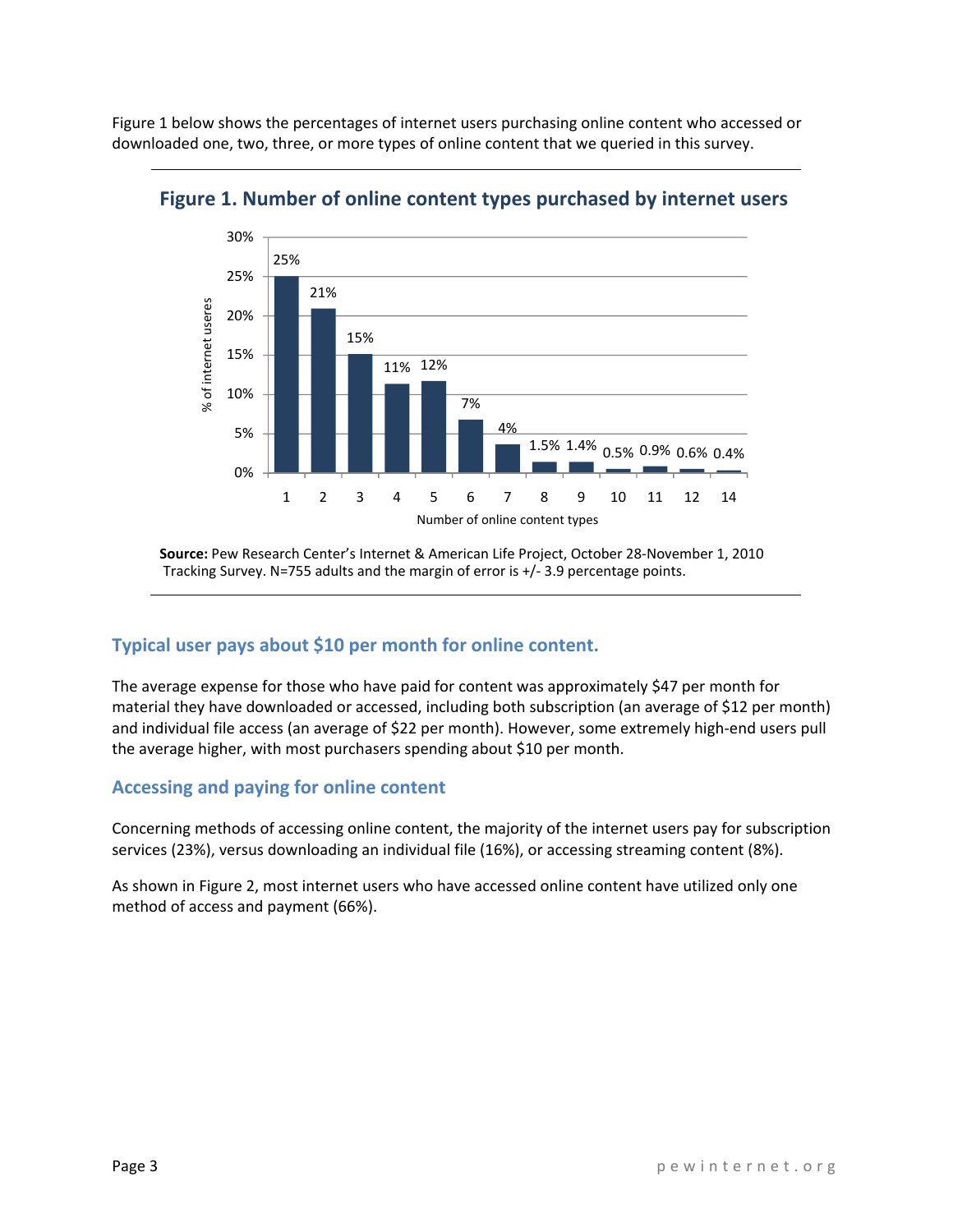Figure 1 below shows the percentages of internet users purchasing online content who accessed or downloaded one, two, three, or more types of online content that we queried in this survey.



**Figure 1. Number of online content types purchased by internet users**

**Source:** Pew Research Center's Internet & American Life Project, October 28‐November 1, 2010 Tracking Survey. N=755 adults and the margin of error is +/‐ 3.9 percentage points.

## **Typical user pays about \$10 per month for online content.**

The average expense for those who have paid for content was approximately \$47 per month for material they have downloaded or accessed, including both subscription (an average of \$12 per month) and individual file access (an average of \$22 per month). However, some extremely high‐end users pull the average higher, with most purchasers spending about \$10 per month.

## **Accessing and paying for online content**

Concerning methods of accessing online content, the majority of the internet users pay for subscription services (23%), versus downloading an individual file (16%), or accessing streaming content (8%).

As shown in Figure 2, most internet users who have accessed online content have utilized only one method of access and payment (66%).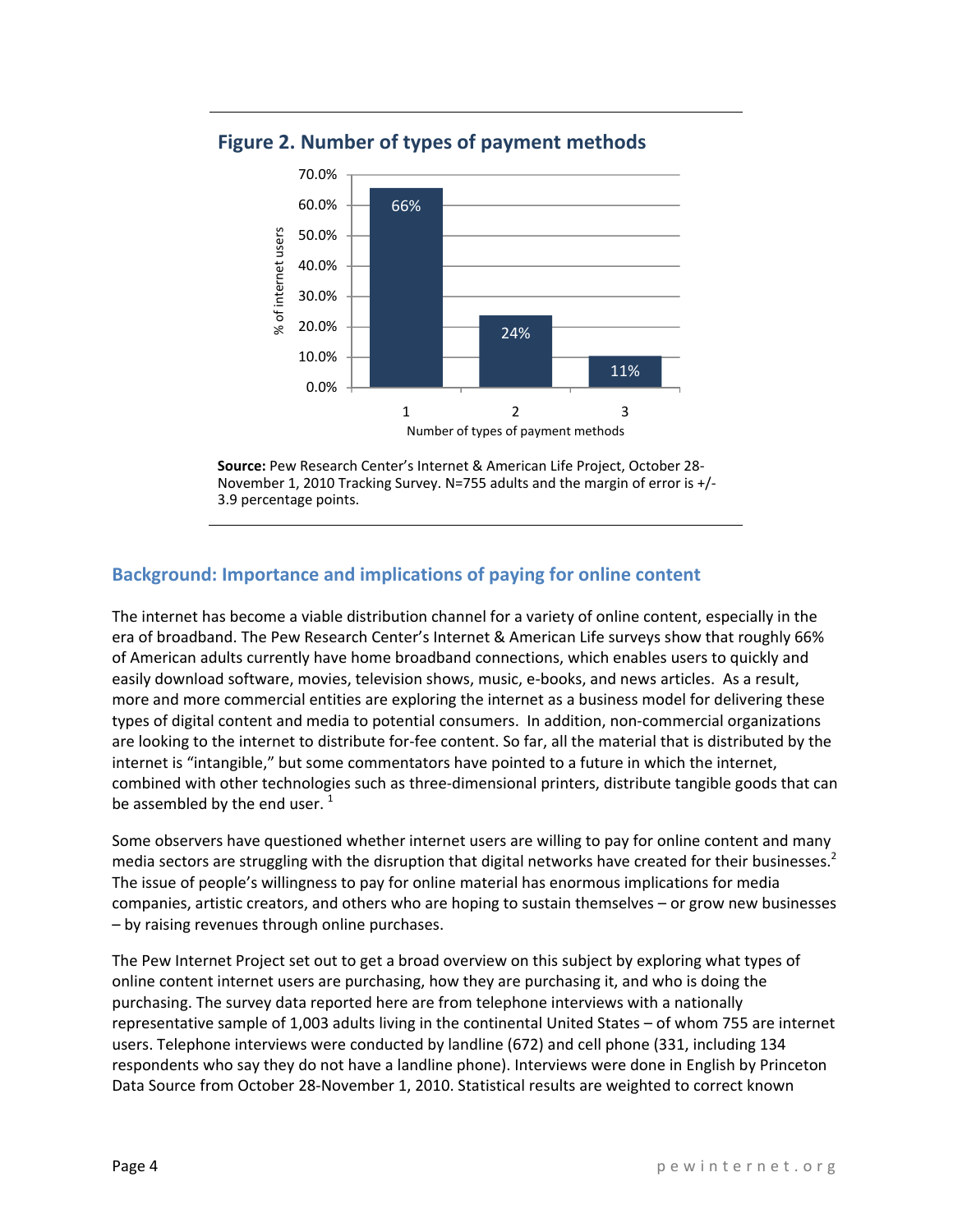

**Figure 2. Number of types of payment methods** 

**Source:** Pew Research Center's Internet & American Life Project, October 28‐ November 1, 2010 Tracking Survey. N=755 adults and the margin of error is +/‐ 3.9 percentage points.

## **Background: Importance and implications of paying for online content**

The internet has become a viable distribution channel for a variety of online content, especially in the era of broadband. The Pew Research Center's Internet & American Life surveys show that roughly 66% of American adults currently have home broadband connections, which enables users to quickly and easily download software, movies, television shows, music, e‐books, and news articles. As a result, more and more commercial entities are exploring the internet as a business model for delivering these types of digital content and media to potential consumers. In addition, non‐commercial organizations are looking to the internet to distribute for‐fee content. So far, all the material that is distributed by the internet is "intangible," but some commentators have pointed to a future in which the internet, combined with other technologies such as three‐dimensional printers, distribute tangible goods that can be assembled by the end user.  $1$ 

Some observers have questioned whether internet users are willing to pay for online content and many media sectors are struggling with the disruption that digital networks have created for their businesses.<sup>2</sup> The issue of people's willingness to pay for online material has enormous implications for media companies, artistic creators, and others who are hoping to sustain themselves – or grow new businesses – by raising revenues through online purchases.

The Pew Internet Project set out to get a broad overview on this subject by exploring what types of online content internet users are purchasing, how they are purchasing it, and who is doing the purchasing. The survey data reported here are from telephone interviews with a nationally representative sample of 1,003 adults living in the continental United States – of whom 755 are internet users. Telephone interviews were conducted by landline (672) and cell phone (331, including 134 respondents who say they do not have a landline phone). Interviews were done in English by Princeton Data Source from October 28‐November 1, 2010. Statistical results are weighted to correct known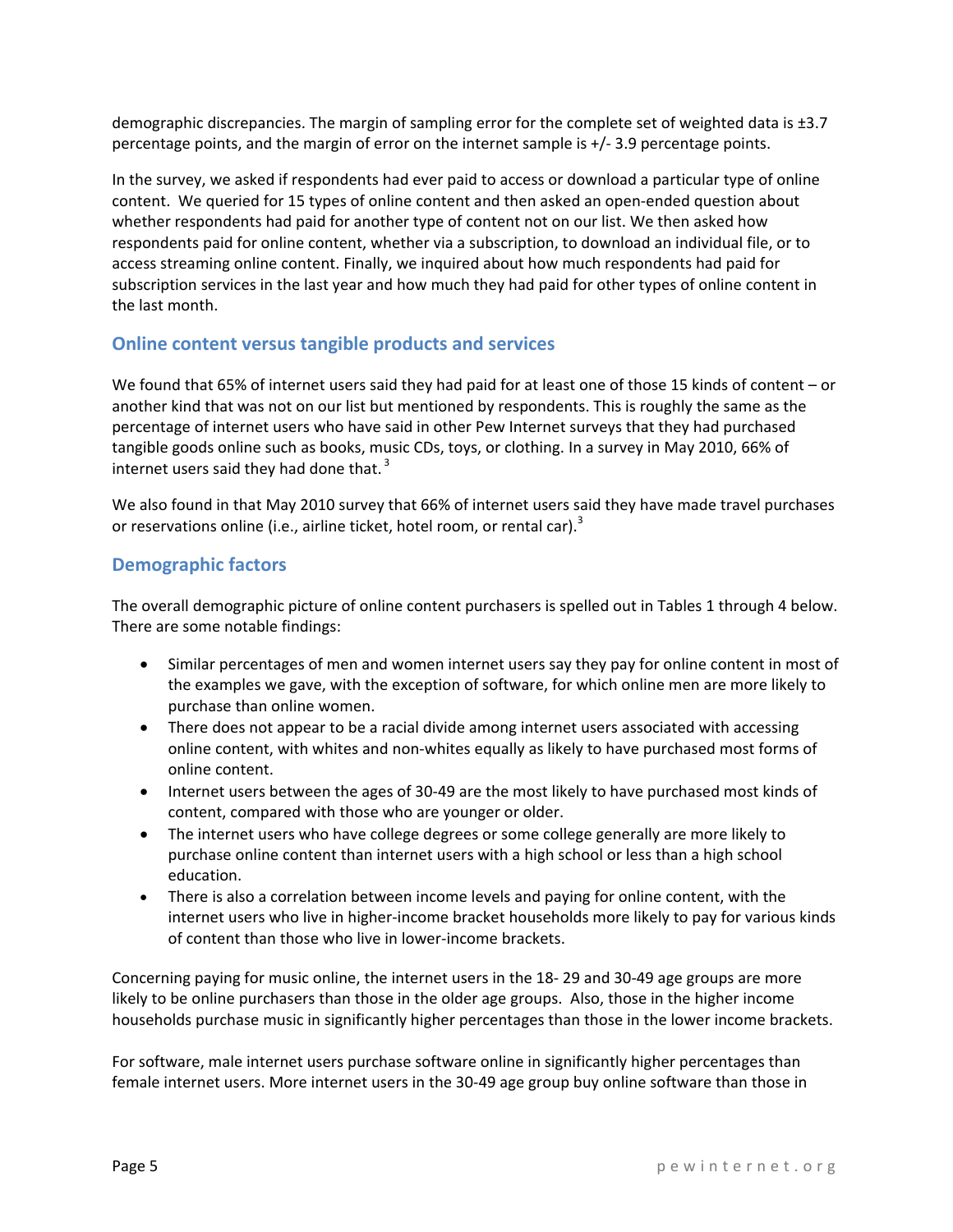demographic discrepancies. The margin of sampling error for the complete set of weighted data is ±3.7 percentage points, and the margin of error on the internet sample is +/‐ 3.9 percentage points.

In the survey, we asked if respondents had ever paid to access or download a particular type of online content. We queried for 15 types of online content and then asked an open-ended question about whether respondents had paid for another type of content not on our list. We then asked how respondents paid for online content, whether via a subscription, to download an individual file, or to access streaming online content. Finally, we inquired about how much respondents had paid for subscription services in the last year and how much they had paid for other types of online content in the last month.

## **Online content versus tangible products and services**

We found that 65% of internet users said they had paid for at least one of those 15 kinds of content – or another kind that was not on our list but mentioned by respondents. This is roughly the same as the percentage of internet users who have said in other Pew Internet surveys that they had purchased tangible goods online such as books, music CDs, toys, or clothing. In a survey in May 2010, 66% of internet users said they had done that.<sup>3</sup>

We also found in that May 2010 survey that 66% of internet users said they have made travel purchases or reservations online (i.e., airline ticket, hotel room, or rental car).<sup>3</sup>

#### **Demographic factors**

The overall demographic picture of online content purchasers is spelled out in Tables 1 through 4 below. There are some notable findings:

- Similar percentages of men and women internet users say they pay for online content in most of the examples we gave, with the exception of software, for which online men are more likely to purchase than online women.
- There does not appear to be a racial divide among internet users associated with accessing online content, with whites and non‐whites equally as likely to have purchased most forms of online content.
- Internet users between the ages of 30-49 are the most likely to have purchased most kinds of content, compared with those who are younger or older.
- The internet users who have college degrees or some college generally are more likely to purchase online content than internet users with a high school or less than a high school education.
- There is also a correlation between income levels and paying for online content, with the internet users who live in higher-income bracket households more likely to pay for various kinds of content than those who live in lower‐income brackets.

Concerning paying for music online, the internet users in the 18‐ 29 and 30‐49 age groups are more likely to be online purchasers than those in the older age groups. Also, those in the higher income households purchase music in significantly higher percentages than those in the lower income brackets.

For software, male internet users purchase software online in significantly higher percentages than female internet users. More internet users in the 30‐49 age group buy online software than those in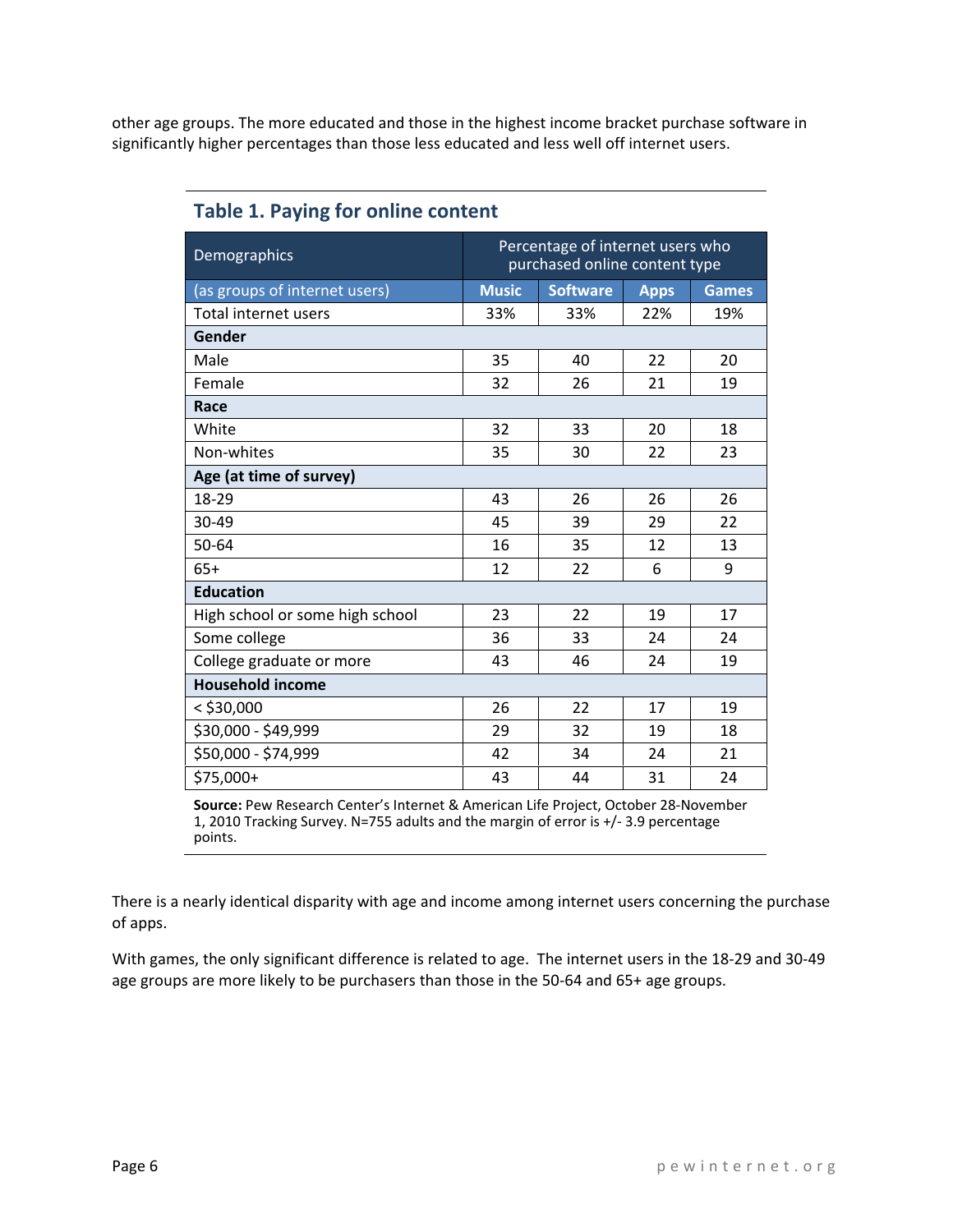other age groups. The more educated and those in the highest income bracket purchase software in significantly higher percentages than those less educated and less well off internet users.

| Demographics                    | Percentage of internet users who<br>purchased online content type |     |     |     |  |
|---------------------------------|-------------------------------------------------------------------|-----|-----|-----|--|
| (as groups of internet users)   | <b>Software</b><br><b>Music</b><br><b>Apps</b><br><b>Games</b>    |     |     |     |  |
| <b>Total internet users</b>     | 33%                                                               | 33% | 22% | 19% |  |
| Gender                          |                                                                   |     |     |     |  |
| Male                            | 35                                                                | 40  | 22  | 20  |  |
| Female                          | 32                                                                | 26  | 21  | 19  |  |
| Race                            |                                                                   |     |     |     |  |
| White                           | 32                                                                | 33  | 20  | 18  |  |
| Non-whites                      | 35                                                                | 30  | 22  | 23  |  |
| Age (at time of survey)         |                                                                   |     |     |     |  |
| 18-29                           | 43                                                                | 26  | 26  | 26  |  |
| 30-49                           | 45                                                                | 39  | 29  | 22  |  |
| 50-64                           | 16                                                                | 35  | 12  | 13  |  |
| $65+$                           | 12                                                                | 22  | 6   | 9   |  |
| <b>Education</b>                |                                                                   |     |     |     |  |
| High school or some high school | 23                                                                | 22  | 19  | 17  |  |
| Some college                    | 36                                                                | 33  | 24  | 24  |  |
| College graduate or more        | 43                                                                | 46  | 24  | 19  |  |
| <b>Household income</b>         |                                                                   |     |     |     |  |
| < \$30,000                      | 26                                                                | 22  | 17  | 19  |  |
| \$30,000 - \$49,999             | 29                                                                | 32  | 19  | 18  |  |
| \$50,000 - \$74,999             | 42                                                                | 34  | 24  | 21  |  |
| \$75,000+                       | 43                                                                | 44  | 31  | 24  |  |

## **Table 1. Paying for online content**

**Source:** Pew Research Center's Internet & American Life Project, October 28‐November 1, 2010 Tracking Survey. N=755 adults and the margin of error is +/‐ 3.9 percentage points.

There is a nearly identical disparity with age and income among internet users concerning the purchase of apps.

With games, the only significant difference is related to age. The internet users in the 18‐29 and 30‐49 age groups are more likely to be purchasers than those in the 50-64 and 65+ age groups.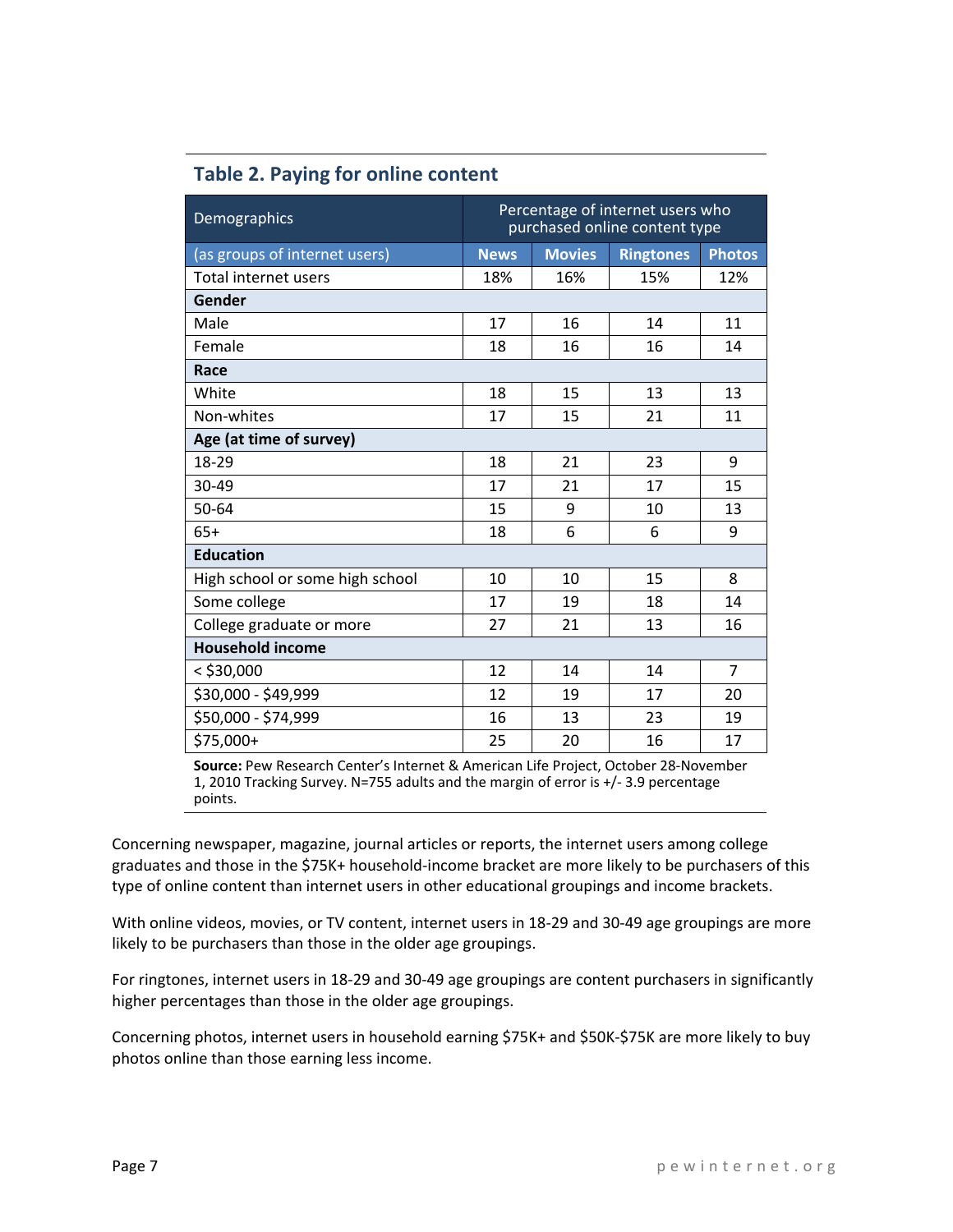|  |  |  |  | <b>Table 2. Paying for online content</b> |
|--|--|--|--|-------------------------------------------|
|--|--|--|--|-------------------------------------------|

| Demographics                    | Percentage of internet users who<br>purchased online content type |     |     |                |  |
|---------------------------------|-------------------------------------------------------------------|-----|-----|----------------|--|
| (as groups of internet users)   | <b>News</b><br><b>Movies</b><br><b>Ringtones</b><br><b>Photos</b> |     |     |                |  |
| Total internet users            | 18%                                                               | 16% | 15% | 12%            |  |
| Gender                          |                                                                   |     |     |                |  |
| Male                            | 17                                                                | 16  | 14  | 11             |  |
| Female                          | 18                                                                | 16  | 16  | 14             |  |
| Race                            |                                                                   |     |     |                |  |
| White                           | 18                                                                | 15  | 13  | 13             |  |
| Non-whites                      | 17                                                                | 15  | 21  | 11             |  |
| Age (at time of survey)         |                                                                   |     |     |                |  |
| 18-29                           | 18                                                                | 21  | 23  | 9              |  |
| 30-49                           | 17                                                                | 21  | 17  | 15             |  |
| 50-64                           | 15                                                                | 9   | 10  | 13             |  |
| $65+$                           | 18                                                                | 6   | 6   | 9              |  |
| <b>Education</b>                |                                                                   |     |     |                |  |
| High school or some high school | 10                                                                | 10  | 15  | 8              |  |
| Some college                    | 17                                                                | 19  | 18  | 14             |  |
| College graduate or more        | 27                                                                | 21  | 13  | 16             |  |
| <b>Household income</b>         |                                                                   |     |     |                |  |
| $<$ \$30,000                    | 12                                                                | 14  | 14  | $\overline{7}$ |  |
| \$30,000 - \$49,999             | 12                                                                | 19  | 17  | 20             |  |
| \$50,000 - \$74,999             | 16                                                                | 13  | 23  | 19             |  |
| \$75,000+                       | 25                                                                | 20  | 16  | 17             |  |

**Source:** Pew Research Center's Internet & American Life Project, October 28‐November 1, 2010 Tracking Survey. N=755 adults and the margin of error is +/‐ 3.9 percentage points.

Concerning newspaper, magazine, journal articles or reports, the internet users among college graduates and those in the \$75K+ household‐income bracket are more likely to be purchasers of this type of online content than internet users in other educational groupings and income brackets.

With online videos, movies, or TV content, internet users in 18‐29 and 30‐49 age groupings are more likely to be purchasers than those in the older age groupings.

For ringtones, internet users in 18‐29 and 30‐49 age groupings are content purchasers in significantly higher percentages than those in the older age groupings.

Concerning photos, internet users in household earning \$75K+ and \$50K‐\$75K are more likely to buy photos online than those earning less income.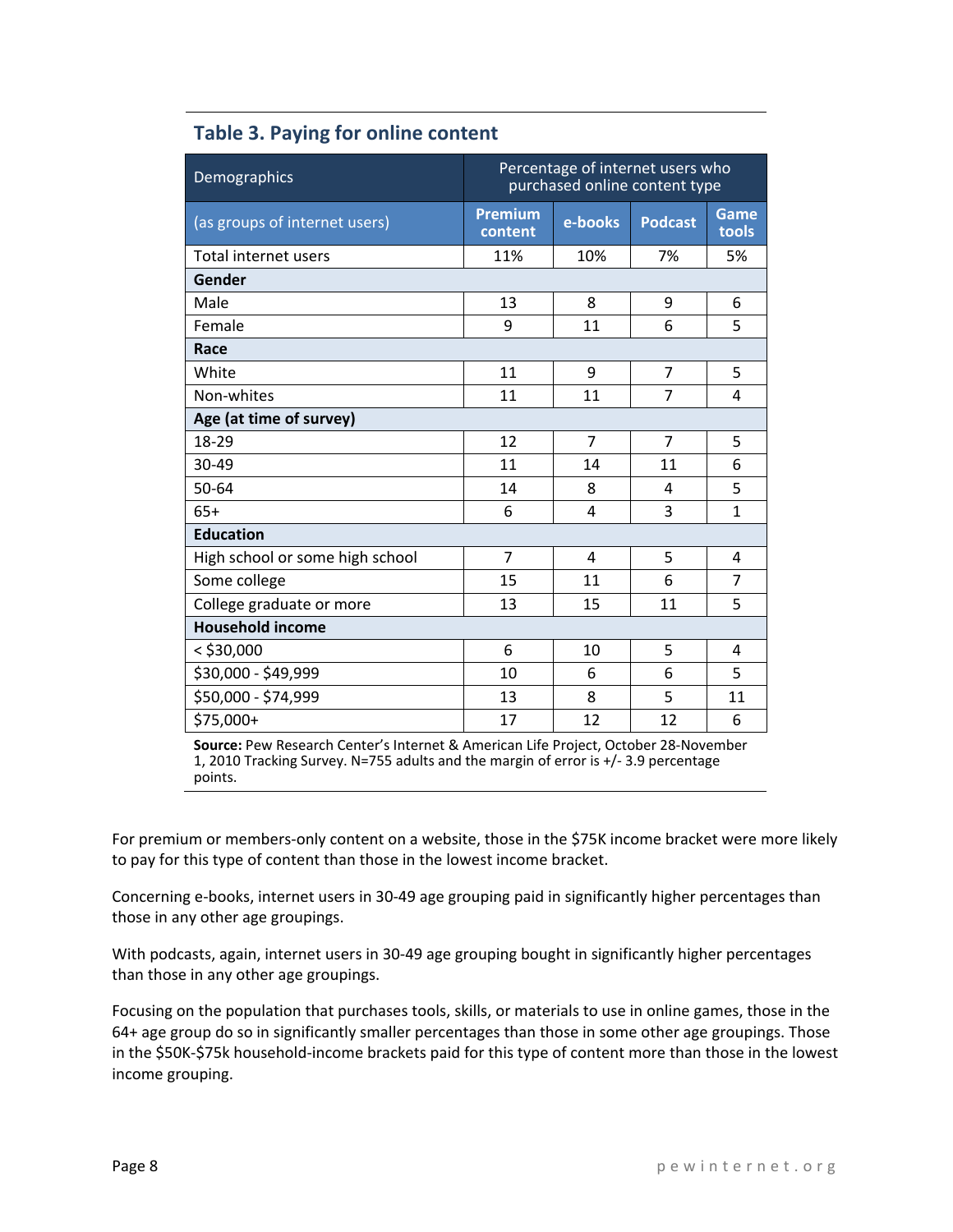| Demographics                    | Percentage of internet users who<br>purchased online content type |                |                |                |  |
|---------------------------------|-------------------------------------------------------------------|----------------|----------------|----------------|--|
| (as groups of internet users)   | Premium<br>content                                                | e-books        | <b>Podcast</b> | Game<br>tools  |  |
| Total internet users            | 11%                                                               | 10%            | 7%             | 5%             |  |
| Gender                          |                                                                   |                |                |                |  |
| Male                            | 13                                                                | 8              | 9              | 6              |  |
| Female                          | 9                                                                 | 11             | 6              | 5              |  |
| Race                            |                                                                   |                |                |                |  |
| White                           | 11                                                                | 9              | $\overline{7}$ | 5              |  |
| Non-whites                      | 11                                                                | 11             | 7              | 4              |  |
| Age (at time of survey)         |                                                                   |                |                |                |  |
| 18-29                           | 12                                                                | $\overline{7}$ | $\overline{7}$ | 5              |  |
| 30-49                           | 11                                                                | 14             | 11             | 6              |  |
| 50-64                           | 14                                                                | 8              | 4              | 5              |  |
| $65+$                           | 6                                                                 | 4              | 3              | $\mathbf{1}$   |  |
| <b>Education</b>                |                                                                   |                |                |                |  |
| High school or some high school | 7                                                                 | 4              | 5              | 4              |  |
| Some college                    | 15                                                                | 11             | 6              | $\overline{7}$ |  |
| College graduate or more        | 13                                                                | 15             | 11             | 5              |  |
| <b>Household income</b>         |                                                                   |                |                |                |  |
| $<$ \$30,000                    | 6                                                                 | 10             | 5              | 4              |  |
| \$30,000 - \$49,999             | 10                                                                | 6              | 6              | 5              |  |
| \$50,000 - \$74,999             | 13                                                                | 8              | 5              | 11             |  |
| \$75,000+                       | 17                                                                | 12             | 12             | 6              |  |

## **Table 3. Paying for online content**

**Source:** Pew Research Center's Internet & American Life Project, October 28‐November 1, 2010 Tracking Survey. N=755 adults and the margin of error is +/‐ 3.9 percentage points.

For premium or members-only content on a website, those in the \$75K income bracket were more likely to pay for this type of content than those in the lowest income bracket.

Concerning e‐books, internet users in 30‐49 age grouping paid in significantly higher percentages than those in any other age groupings.

With podcasts, again, internet users in 30-49 age grouping bought in significantly higher percentages than those in any other age groupings.

Focusing on the population that purchases tools, skills, or materials to use in online games, those in the 64+ age group do so in significantly smaller percentages than those in some other age groupings. Those in the \$50K‐\$75k household‐income brackets paid for this type of content more than those in the lowest income grouping.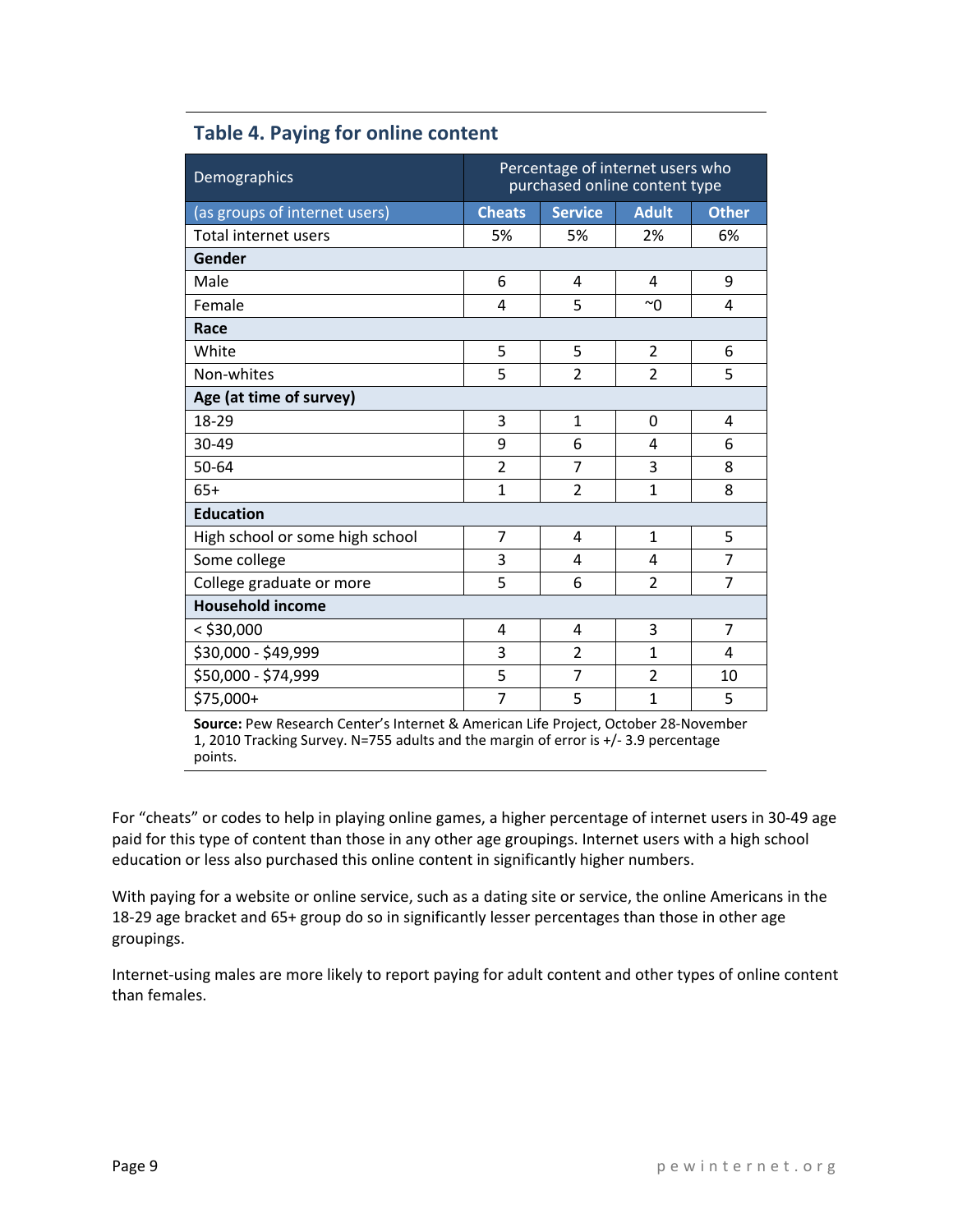| Demographics                    | Percentage of internet users who<br>purchased online content type |                                                |                |                |  |  |
|---------------------------------|-------------------------------------------------------------------|------------------------------------------------|----------------|----------------|--|--|
| (as groups of internet users)   | <b>Cheats</b>                                                     | <b>Adult</b><br><b>Service</b><br><b>Other</b> |                |                |  |  |
| Total internet users            | 5%                                                                | 5%                                             | 2%             | 6%             |  |  |
| Gender                          |                                                                   |                                                |                |                |  |  |
| Male                            | 6                                                                 | 4                                              | $\overline{4}$ | 9              |  |  |
| Female                          | 4                                                                 | 5                                              | $~\sim$ $~$    | 4              |  |  |
| Race                            |                                                                   |                                                |                |                |  |  |
| White                           | 5                                                                 | 5                                              | $\overline{2}$ | 6              |  |  |
| Non-whites                      | 5                                                                 | $\overline{2}$                                 | $\overline{2}$ | 5              |  |  |
| Age (at time of survey)         |                                                                   |                                                |                |                |  |  |
| 18-29                           | 3                                                                 | $\mathbf{1}$                                   | $\Omega$       | 4              |  |  |
| 30-49                           | 9                                                                 | 6                                              | 4              | 6              |  |  |
| 50-64                           | $\overline{2}$                                                    | 7                                              | 3              | 8              |  |  |
| $65+$                           | $\overline{1}$                                                    | $\overline{2}$                                 | $\mathbf{1}$   | 8              |  |  |
| <b>Education</b>                |                                                                   |                                                |                |                |  |  |
| High school or some high school | 7                                                                 | $\overline{a}$                                 | $\mathbf{1}$   | 5              |  |  |
| Some college                    | 3                                                                 | 4                                              | 4              | $\overline{7}$ |  |  |
| College graduate or more        | 5                                                                 | 6                                              | $\overline{2}$ | 7              |  |  |
| <b>Household income</b>         |                                                                   |                                                |                |                |  |  |
| $<$ \$30,000                    | 4                                                                 | $\overline{a}$                                 | 3              | $\overline{7}$ |  |  |
| \$30,000 - \$49,999             | 3                                                                 | $\overline{2}$                                 | $\mathbf{1}$   | 4              |  |  |
| \$50,000 - \$74,999             | 5                                                                 | 7                                              | $\overline{2}$ | 10             |  |  |
| \$75,000+                       | $\overline{7}$                                                    | 5                                              | $\mathbf{1}$   | 5              |  |  |

## **Table 4. Paying for online content**

**Source:** Pew Research Center's Internet & American Life Project, October 28‐November 1, 2010 Tracking Survey. N=755 adults and the margin of error is +/‐ 3.9 percentage points.

For "cheats" or codes to help in playing online games, a higher percentage of internet users in 30‐49 age paid for this type of content than those in any other age groupings. Internet users with a high school education or less also purchased this online content in significantly higher numbers.

With paying for a website or online service, such as a dating site or service, the online Americans in the 18-29 age bracket and 65+ group do so in significantly lesser percentages than those in other age groupings.

Internet‐using males are more likely to report paying for adult content and other types of online content than females.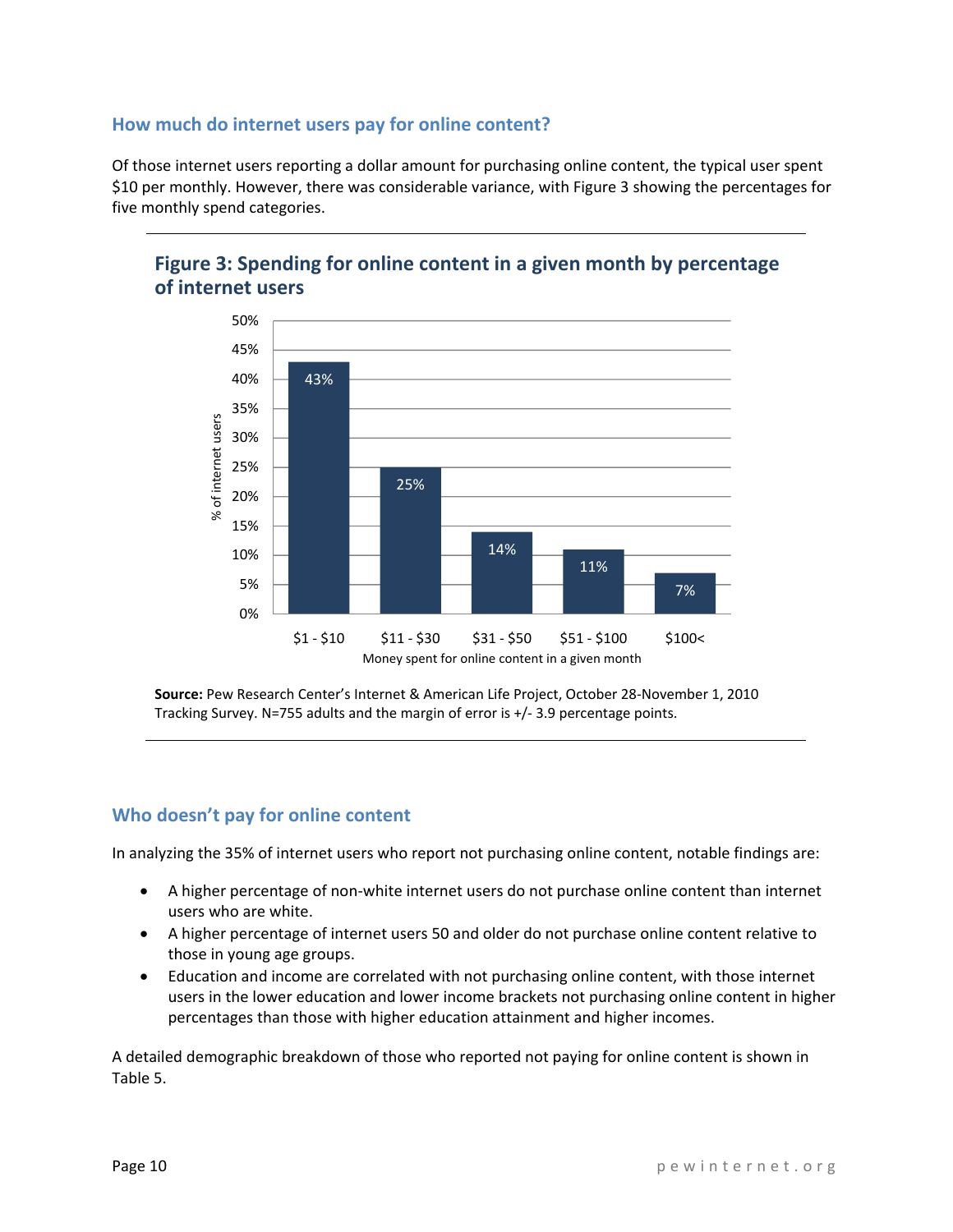## **How much do internet users pay for online content?**

Of those internet users reporting a dollar amount for purchasing online content, the typical user spent \$10 per monthly. However, there was considerable variance, with Figure 3 showing the percentages for five monthly spend categories.



## **Figure 3: Spending for online content in a given month by percentage of internet users**

**Source:** Pew Research Center's Internet & American Life Project, October 28‐November 1, 2010 Tracking Survey. N=755 adults and the margin of error is +/‐ 3.9 percentage points.

## **Who doesn't pay for online content**

In analyzing the 35% of internet users who report not purchasing online content, notable findings are:

- A higher percentage of non‐white internet users do not purchase online content than internet users who are white.
- A higher percentage of internet users 50 and older do not purchase online content relative to those in young age groups.
- Education and income are correlated with not purchasing online content, with those internet users in the lower education and lower income brackets not purchasing online content in higher percentages than those with higher education attainment and higher incomes.

A detailed demographic breakdown of those who reported not paying for online content is shown in Table 5.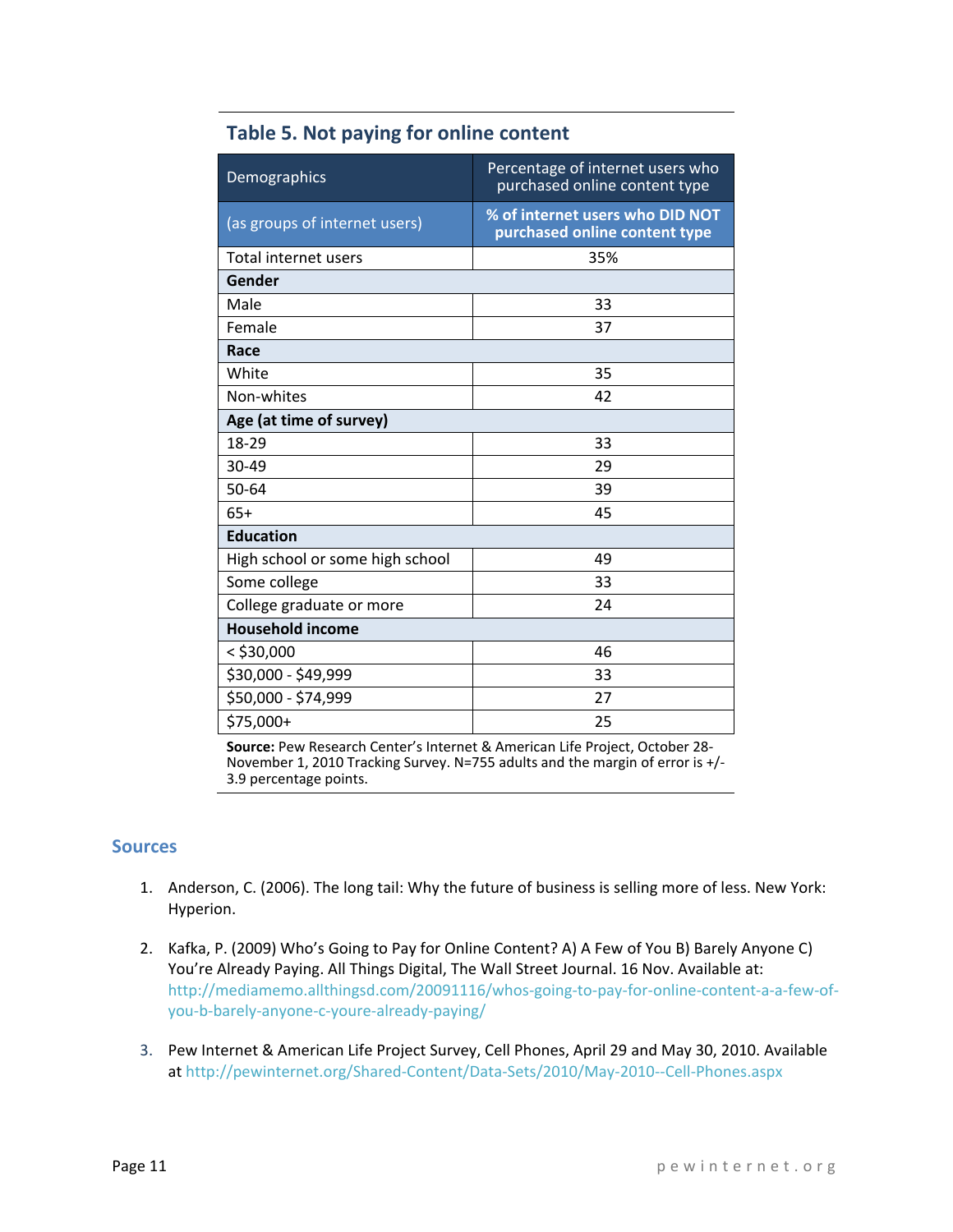| Demographics                    | Percentage of internet users who<br>purchased online content type |  |  |  |  |
|---------------------------------|-------------------------------------------------------------------|--|--|--|--|
| (as groups of internet users)   | % of internet users who DID NOT<br>purchased online content type  |  |  |  |  |
| Total internet users            | 35%                                                               |  |  |  |  |
| Gender                          |                                                                   |  |  |  |  |
| Male                            | 33                                                                |  |  |  |  |
| Female                          | 37                                                                |  |  |  |  |
| Race                            |                                                                   |  |  |  |  |
| White                           | 35                                                                |  |  |  |  |
| Non-whites                      | 42                                                                |  |  |  |  |
| Age (at time of survey)         |                                                                   |  |  |  |  |
| 18-29                           | 33                                                                |  |  |  |  |
| 30-49                           | 29                                                                |  |  |  |  |
| 50-64                           | 39                                                                |  |  |  |  |
| $65+$                           | 45                                                                |  |  |  |  |
| <b>Education</b>                |                                                                   |  |  |  |  |
| High school or some high school | 49                                                                |  |  |  |  |
| Some college                    | 33                                                                |  |  |  |  |
| College graduate or more        | 24                                                                |  |  |  |  |
| <b>Household income</b>         |                                                                   |  |  |  |  |
| $<$ \$30,000                    | 46                                                                |  |  |  |  |
| \$30,000 - \$49,999             | 33                                                                |  |  |  |  |
| \$50,000 - \$74,999             | 27                                                                |  |  |  |  |
| \$75,000+                       | 25                                                                |  |  |  |  |

## **Table 5. Not paying for online content**

**Source:** Pew Research Center's Internet & American Life Project, October 28‐ November 1, 2010 Tracking Survey. N=755 adults and the margin of error is +/‐ 3.9 percentage points.

## **Sources**

- 1. Anderson, C. (2006). The long tail: Why the future of business is selling more of less. New York: Hyperion.
- 2. Kafka, P. (2009) Who's Going to Pay for Online Content? A) A Few of You B) Barely Anyone C) You're Already Paying. All Things Digital, The Wall Street Journal. 16 Nov. Available at: http://mediamemo.allthingsd.com/20091116/whos-going-to-pay-for-online-content-a-a-few-ofyou‐b‐barely‐anyone‐c‐youre‐already‐paying/
- 3. Pew Internet & American Life Project Survey, Cell Phones, April 29 and May 30, 2010. Available at http://pewinternet.org/Shared‐Content/Data‐Sets/2010/May‐2010‐‐Cell‐Phones.aspx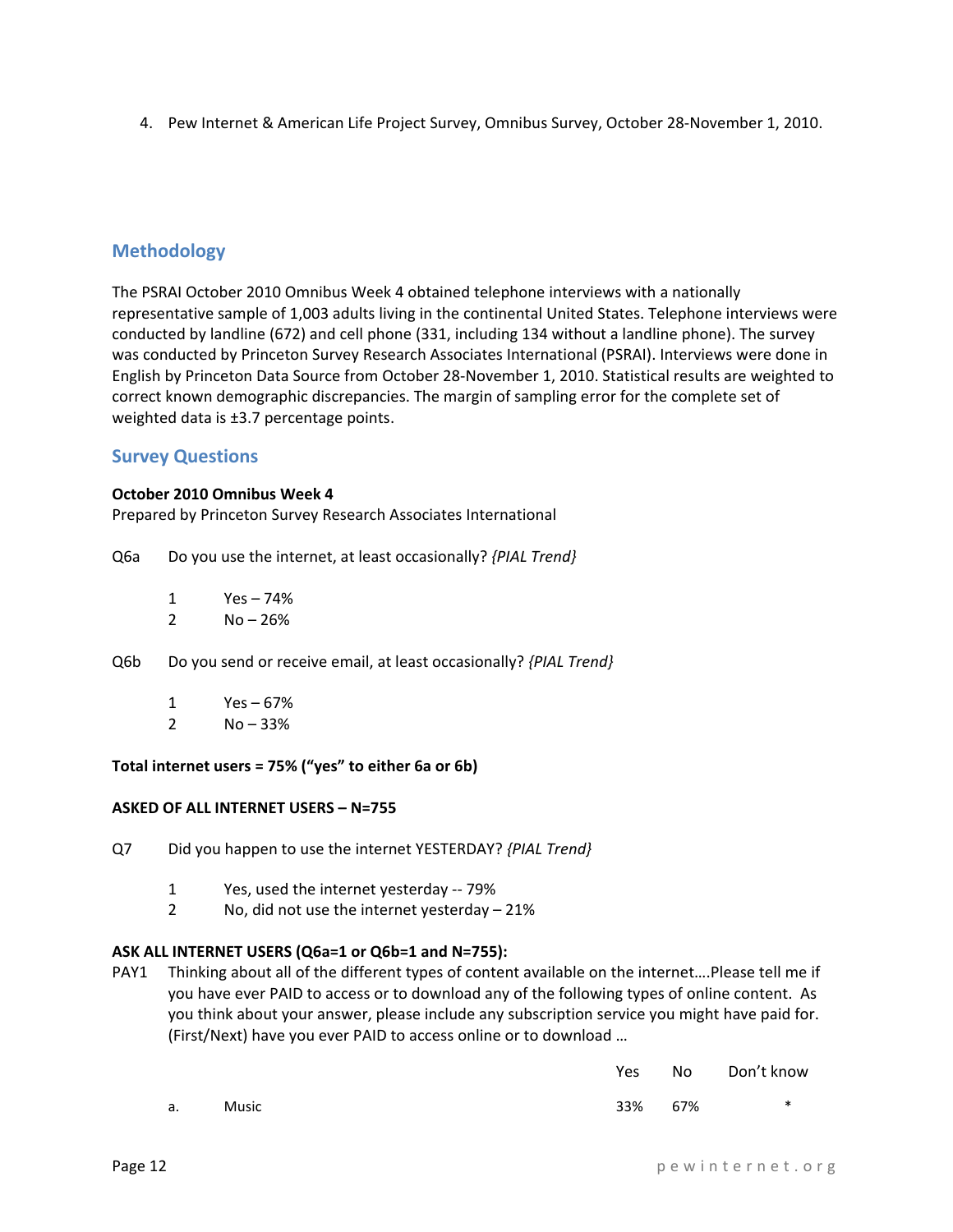4. Pew Internet & American Life Project Survey, Omnibus Survey, October 28‐November 1, 2010.

#### **Methodology**

The PSRAI October 2010 Omnibus Week 4 obtained telephone interviews with a nationally representative sample of 1,003 adults living in the continental United States. Telephone interviews were conducted by landline (672) and cell phone (331, including 134 without a landline phone). The survey was conducted by Princeton Survey Research Associates International (PSRAI). Interviews were done in English by Princeton Data Source from October 28‐November 1, 2010. Statistical results are weighted to correct known demographic discrepancies. The margin of sampling error for the complete set of weighted data is ±3.7 percentage points.

#### **Survey Questions**

#### **October 2010 Omnibus Week 4**

Prepared by Princeton Survey Research Associates International

- Q6a Do you use the internet, at least occasionally? *{PIAL Trend}*
	- 1 Yes 74%
	- $2 \text{ No} 26\%$
- Q6b Do you send or receive email, at least occasionally? *{PIAL Trend}*
	- 1 Yes 67%
	- $2 \text{ No} 33\%$

#### **Total internet users = 75% ("yes" to either 6a or 6b)**

#### **ASKED OF ALL INTERNET USERS – N=755**

- Q7 Did you happen to use the internet YESTERDAY? *{PIAL Trend}*
	- 1 Yes, used the internet yesterday ‐‐ 79%
	- 2 No, did not use the internet yesterday 21%

#### **ASK ALL INTERNET USERS (Q6a=1 or Q6b=1 and N=755):**

PAY1 Thinking about all of the different types of content available on the internet….Please tell me if you have ever PAID to access or to download any of the following types of online content. As you think about your answer, please include any subscription service you might have paid for. (First/Next) have you ever PAID to access online or to download …

|    |              |  | Yes |     | No Don't know |
|----|--------------|--|-----|-----|---------------|
| a. | <b>Music</b> |  | 33% | 67% | ∗             |